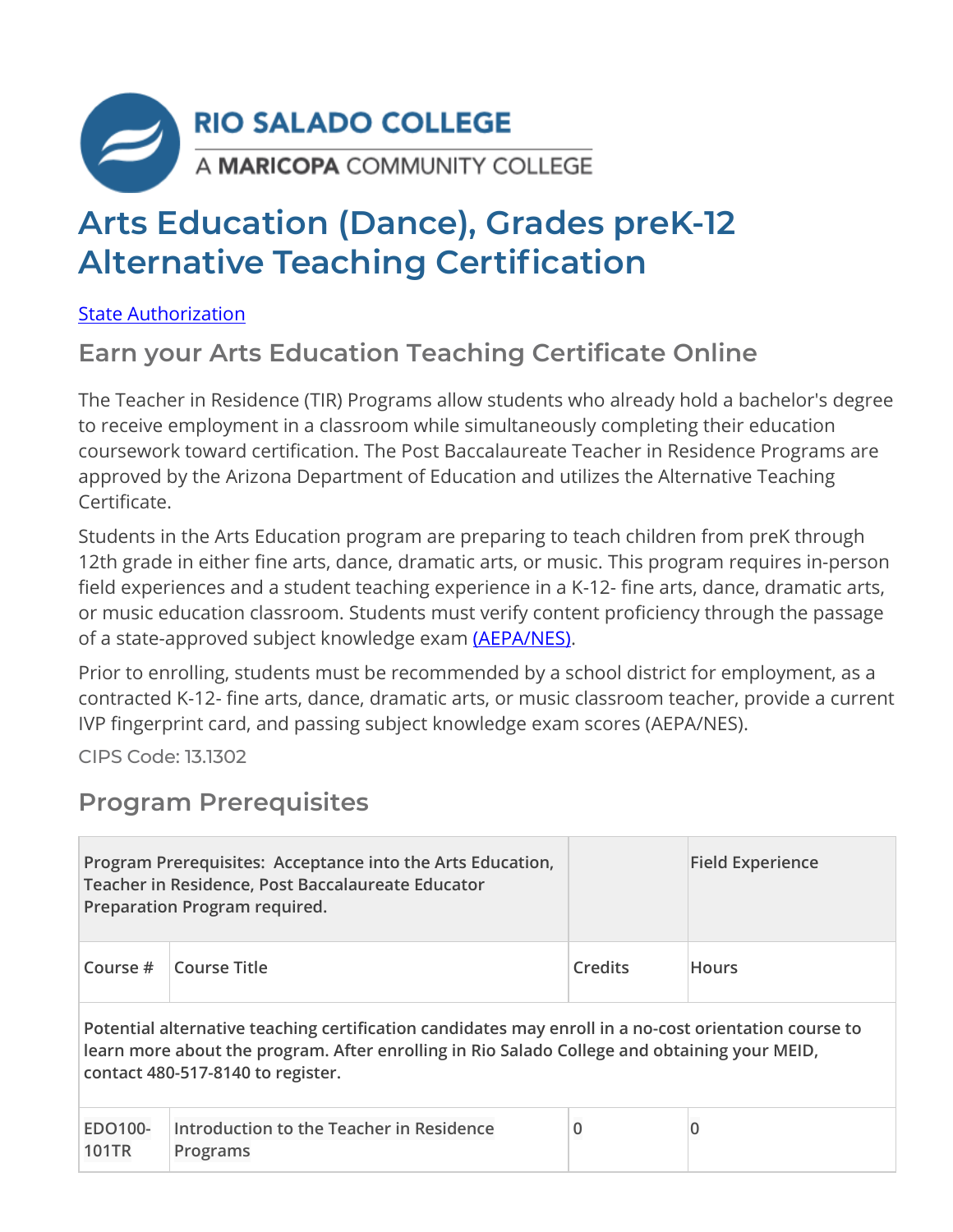

# **Arts Education (Dance), Grades preK-12 Alternative Teaching Certification**

[State Authorization](https://www.riosalado.edu/node/2416)

### **Earn your Arts Education Teaching Certificate Online**

The Teacher in Residence (TIR) Programs allow students who already hold a bachelor's degree to receive employment in a classroom while simultaneously completing their education coursework toward certification. The Post Baccalaureate Teacher in Residence Programs are approved by the Arizona Department of Education and utilizes the Alternative Teaching Certificate.

Students in the Arts Education program are preparing to teach children from preK through 12th grade in either fine arts, dance, dramatic arts, or music. This program requires in-person field experiences and a student teaching experience in a K-12- fine arts, dance, dramatic arts, or music education classroom. Students must verify content proficiency through the passage of a state-approved subject knowledge exam [\(AEPA/NES\).](http://www.aepa.nesinc.com/)

Prior to enrolling, students must be recommended by a school district for employment, as a contracted K-12- fine arts, dance, dramatic arts, or music classroom teacher, provide a current IVP fingerprint card, and passing subject knowledge exam scores (AEPA/NES).

CIPS Code: [13.1302](http://nces.ed.gov/ipeds/cipcode/cipdetail.aspx?y=55&cipid=88160)

#### **Program Prerequisites**

|                                                                                                                                                                                                                                            | Program Prerequisites: Acceptance into the Arts Education,<br>Teacher in Residence, Post Baccalaureate Educator<br>Preparation Program required. |   | <b>Field Experience</b> |  |
|--------------------------------------------------------------------------------------------------------------------------------------------------------------------------------------------------------------------------------------------|--------------------------------------------------------------------------------------------------------------------------------------------------|---|-------------------------|--|
| Course $#$                                                                                                                                                                                                                                 | Course Title<br><b>Credits</b>                                                                                                                   |   | <b>Hours</b>            |  |
| Potential alternative teaching certification candidates may enroll in a no-cost orientation course to<br>learn more about the program. After enrolling in Rio Salado College and obtaining your MEID,<br>contact 480-517-8140 to register. |                                                                                                                                                  |   |                         |  |
| EDO100-<br><b>101TR</b>                                                                                                                                                                                                                    | Introduction to the Teacher in Residence<br>Programs                                                                                             | 0 |                         |  |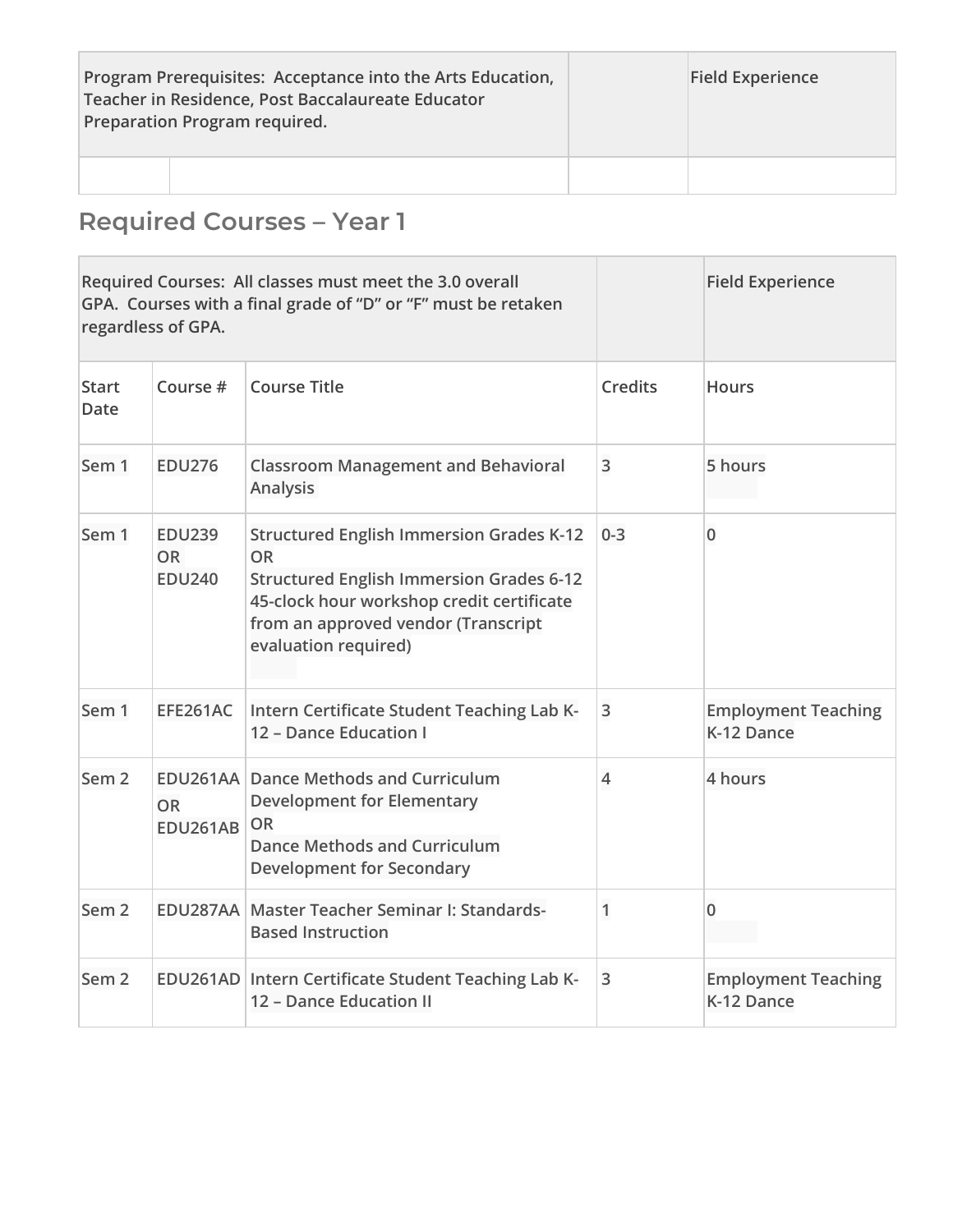| Program Prerequisites: Acceptance into the Arts Education,<br>Teacher in Residence, Post Baccalaureate Educator<br>Preparation Program required. |  | <b>Field Experience</b> |
|--------------------------------------------------------------------------------------------------------------------------------------------------|--|-------------------------|
|                                                                                                                                                  |  |                         |

## **Required Courses – Year 1**

| Required Courses: All classes must meet the 3.0 overall<br>GPA. Courses with a final grade of "D" or "F" must be retaken<br>regardless of GPA. |                                             |                                                                                                                                                                                                                             |                | <b>Field Experience</b>                  |
|------------------------------------------------------------------------------------------------------------------------------------------------|---------------------------------------------|-----------------------------------------------------------------------------------------------------------------------------------------------------------------------------------------------------------------------------|----------------|------------------------------------------|
| <b>Start</b><br><b>Date</b>                                                                                                                    | Course #                                    | Course Title                                                                                                                                                                                                                | <b>Credits</b> | <b>Hours</b>                             |
| Sem 1                                                                                                                                          | <b>EDU276</b>                               | <b>Classroom Management and Behavioral</b><br><b>Analysis</b>                                                                                                                                                               | 3              | 5 hours                                  |
| Sem 1                                                                                                                                          | <b>EDU239</b><br><b>OR</b><br><b>EDU240</b> | <b>Structured English Immersion Grades K-12</b><br><b>OR</b><br><b>Structured English Immersion Grades 6-12</b><br>45-clock hour workshop credit certificate<br>from an approved vendor (Transcript<br>evaluation required) | $0 - 3$        | $\overline{0}$                           |
| Sem <sub>1</sub>                                                                                                                               | EFE261AC                                    | Intern Certificate Student Teaching Lab K-<br>12 - Dance Education I                                                                                                                                                        | 3              | <b>Employment Teaching</b><br>K-12 Dance |
| Sem <sub>2</sub>                                                                                                                               | <b>OR</b><br><b>EDU261AB</b>                | <b>EDU261AA Dance Methods and Curriculum</b><br><b>Development for Elementary</b><br><b>OR</b><br><b>Dance Methods and Curriculum</b><br><b>Development for Secondary</b>                                                   | $\overline{4}$ | 4 hours                                  |
| Sem <sub>2</sub>                                                                                                                               |                                             | EDU287AA Master Teacher Seminar I: Standards-<br><b>Based Instruction</b>                                                                                                                                                   | 1              | 0                                        |
| Sem <sub>2</sub>                                                                                                                               |                                             | EDU261AD Intern Certificate Student Teaching Lab K-<br>12 - Dance Education II                                                                                                                                              | 3              | <b>Employment Teaching</b><br>K-12 Dance |